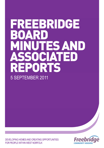# FREEBRIDGE AR **B** MINUTES AND SSOCIATED REPORTS 5 SEPTEMBER 2011

**Freeb** 

DEVELOPING HOMES AND CREATING OPPORTUNITIES FOR PEOPLE WITHIN WEST NORFOLK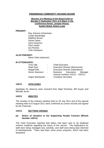#### **FREEBRIDGE COMMUNITY HOUSING BOARD**

#### **Minutes of a Meeting of the Board held on Monday 5 September 2011 at 6.30pm in the Conference Room, Juniper House, Austin Street, King's Lynn**

#### **PRESENT:**

Ray Johnson (Chairman) Lesley Bambridge Matthew Brown Sylvia Calver Irene Gammon Paul Leader Ian Pinches Colin Sampson

#### **ALSO PRESENT:**

**Steve Clark (observer)** 

#### **IN ATTENDANCE:**

| <b>Tony Hall</b> | $\sim$         | <b>Chief Executive</b>                 |
|------------------|----------------|----------------------------------------|
| Sean Kent        | $\blacksquare$ | <b>Executive Director (Resources)</b>  |
| Abigail Ellis    | $\sim$         | <b>Executive Director (Operations)</b> |
| Simon Swanson    | $\blacksquare$ | Business Assurance Manager             |
|                  |                | (minute numbers 142/11 - 150/11)       |
| Angus MacQueen - |                | <b>Company Secretary</b>               |

#### **142/11 APOLOGIES**

Apologies for absence were received from Nigel Donohue, Bill Guyan and Michael Jervis.

#### **143/11 MINUTES**

The minutes of the ordinary meeting held on 25 July 2011 and of the special meeting held on 8 August 2011 were confirmed as correct records and signed by the Chairman.

#### **144/11 MATTERS ARISING**

#### **(a) Notice of Variation to the Supporting People Contract (Minute Number 120/11)**

The Chief Executive reported that letters had been sent to all sheltered scheme residents regarding the future of the service. The implications for staff were being managed very carefully, and staff were being kept informed of developments. There had been some press enquiries, which had been answered.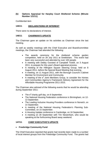#### **(b) Options Appraisal for Harpley Court Sheltered Scheme (Minute Number 121/11)**

Confidential item

#### **145/11 DECLARATIONS OF INTEREST**

There were no declarations of interest.

#### **146/11 CHAIRMAN'S UPDATE**

The Chairman gave an update on his activities as Chairman since the last meeting.

As well as weekly meetings with the Chief Executive and Board/committee meetings, the Chairman had attended the following:

- The awards ceremony for the sheltered scheme garden competition, held on 28 July 2011 at Snettisham. This event had been very successful and attended by over 100 people.
- A meeting with Debby Ounsted of Campbell Tickell, on 3 August 2011, to prepare for this year's Board appraisal process.
- A meeting of the Hillington Square Steering Group, held on 8 August 2011, before the Special Board Meeting that evening.
- A meeting, on 11 August 2011, with the Borough Council's Cabinet Member for Environment and Community.
- A meeting of the  $e^2$  Joint Members Group, to consider the Homes and Communities Agency's Framework Delivery Agreement for the Affordable Housing Programme 2011-2015.

The Chairman also advised of the following events that he would be attending during September 2011:

- The  $e^2$  charity golf day, on 8 September.
- The National Housing Federation conference in Birmingham, on 12- 13 September.
- The Leading Inclusive Housing Providers conference in Norwich, on 14 September.
- A meeting of the National Housing Federation's Planning Sub-Committee, on 15 September.
- A Housing Update conference in Cambridge, on 16 September.
- A meeting on 28 September with Tim Newenham, who would be speaking at the forthcoming Board away weekend.

#### **147/11 CHIEF EXECUTIVE'S UPDATE**

#### • **Freebridge Community Fund**

The Chief Executive reported that grants had recently been made to a number of local interest groups from the Freebridge Community Fund. The grants had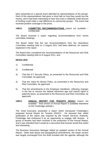been presented at a special event attended by representatives of the groups. Each of the representatives had given a short talk on how they would use the money, and it had been interesting to hear how even a relatively small amount of funding could make a real difference to community groups. The event had received positive coverage in the press.

#### **148/11 COMMITTEE RECOMMENDATIONS** (report not available – confidential)

The Board received a report regarding recommendations from recent committee meetings.

The Board noted that the two recommendations from the Operations Committee meeting held on 3 August 2011 had been deferred, for reasons explained in the report.

The Board then considered the recommendations of the Resources and Risk Committee meeting held on 8 August 2011, and

#### **RESOLVED:**

- 1) Confidential
- 2) Confidential
- 3) That the ICT Security Policy, as presented to the Resources and Risk Committee, be approved.
- 4) That the Value for Money Policy, as presented to the Resources and Risk Committee, be approved.
- 5) That the amendments to the Employee Handbook, reflecting changes in the law to remove the default retirement age and extend rights to paternity leave, as presented to the Resources and Risk Committee, be approved.
- **149/11 ANNUAL REPORT FOR TENANTS 2010/11** (report not available – final version of Annual Report is available elsewhere on the Freebridge website.)

The Chief Executive presented a report which introduced Freebridge's proposed Annual Report for Tenants 2010/11. He stressed that, whilst publication of the report was required by the Tenant Services Authority, Freebridge had embraced it as an opportunity to engage with tenants. A group of tenants had been involved in the production of the Annual Report, and it was intended that it would be a document that tenants would find useful and interesting.

The Business Assurance Manager tabled an updated version of the Annual Report. Other than layout and typographical amendments, the newer version was largely unchanged from the draft included with the agenda, although the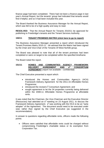finance page had been completed. There had not been a finance page in last year's Annual Report, but the tenants' group had indicated that tenants would find it helpful, and so it had been included this year.

The Board thanked the Business Assurance Manager for the Annual Report, which was felt to be of a high quality and easy to read.

**RESOLVED:** That the Annual Report for Tenants 2010/11 be approved for publishing to Freebridge's tenants and the Tenant Services Authority.

#### **150/11 TENANT PROMISES MATRIX (click here to go to report)**

The Business Assurance Manager presented a report which introduced the Tenant Promises Matrix 2010-11. He advised that the Matrix had been signed by the Chair and Vice-Chair of the Tenants Of West Norfolk group.

The Board was pleased to note that all of the tenant promises had been completed or were on target to be completed within the specified timeframe.

The Board noted the report.

#### **151/11 HOMES AND COMMUNITIES AGENCY FRAMEWORK DELIVERY AGREEMENT AND e2 CONSORTIUM AGREEMENT** (report not available – confidential)

The Chief Executive presented a report which:

- introduced the Homes and Communities Agency's (HCA) Framework Delivery Agreement for the 2011-15 Affordable Homes Programme;
- introduced the revised  $e^2$  Consortium Agreement; and
- sought agreement to let the 34 properties currently being delivered within the 2008-11 Affordable Homes Programme at affordable rents.

It was noted that the Chairman, the Vice-Chairman and the Executive Director (Resources) had attended an  $e^2$  meeting on 23 August 2011, to discuss the Framework Delivery Agreement.  $e^2$  was working with the HCA to be an "early" adopter" of the Agreement. The document would need to be executed under seal, rather than signed by the Chief Executive (as suggested in the recommendation).

In answer to questions regarding affordable rents, officers made the following points:

• Officers were satisfied that affordable rents could be charged without compromising Freebridge's charitable status or its exemption from Corporation Tax.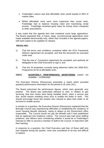- Freebridge's stance was that affordable rents would equate to 80% of market rates.
- Whilst affordable rents were more expensive than social rents, Freebridge had to balance housing need and maximising rental income. Freebridge remained good value for money when compared to other associations.

It was noted that this agenda item had contained some large appendices. The Board requested that, in future, large, uncontroversial appendices were made available electronically only, rather than included in the agenda papers, with hard copies to be supplied on request.

#### **RESOLVED:**

- 1) That the terms and conditions contained within the HCA Framework Delivery Agreement be accepted, and that the document be executed under seal.
- 2) That the new  $e^2$  Consortium Agreement be accepted, and authority be delegated to the Chief Executive to sign it; and
- 3) That the 34 properties currently being delivered within the 2008-2011 Programme be let at affordable rents.

#### **152/11 QUARTERLY PERFORMANCE MONITORING** (report not available – confidential)

The Executive Director (Resources) presented a report which provided quarterly performance information for the period to 30 June 2011.

The Board welcomed the performance figures, which were generally very positive. The Board was particularly pleased to note, in relation to gas servicing, that time clocks were being installed which, when a service was due, would require resetting every hour to enable the boiler to work. This should encourage those few tenants who refused to allow their boiler to be serviced to enable access.

In answer to a question, the Executive Director (Resources) explained that the Borough Council was experiencing difficulties in establishing the residency of some Housing Benefit claimants, owing to delays at the Government office responsible. The Council would not pay the Benefit until it had established that an applicant met residency criteria. The Council also had some staffing problems, and officers were considering whether it would be in Freebridge's interests to offer to second a member of staff to the Council, to help them with their backlog.

In response to a question, the Chief Executive said that, of those staff who had resigned during the quarter, none was considered to be key and difficult to replace.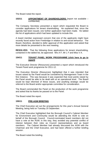The Board noted the report.

#### **153/11 APPOINTMENT OF SHAREHOLDERS** (report not available – confidential)

The Company Secretary presented a report which requested the Board to consider applications for tenant shareholding. He explained that, since the agenda had been issued, one further application had been made. He tabled the list of applications which had been updated to include this.

A board member expressed concern that one of the applicants might have recently faced action from Freebridge in relation to anti-social behaviour. The Board, therefore, decided to defer approval of this application and asked that more details be presented to the next meeting.

**RESOLVED:** That the following three applications for tenant shareholding, contained in the tabled list, be approved: Mrs A F, Mr L F and Miss V A.

#### **154/11 TENANT PANEL WORK PROGRAMME (click here to go to report)**

The Executive Director (Resources) presented a report which introduced the Tenant Panel work programme for 2011-12.

The Executive Director (Resources) highlighted that it was intended that issues raised by the Panel would be considered by Management Team in the first instance. This was because it was expected that most points raised by the Panel would be able to be dealt with at an operational level. The Board would be kept informed of these issues, and anything strategic would be referred to the Board and/or appropriate committee for consideration.

The Board commended the Panel on the production of the work programme and asked that its thanks be passed on to the Panel.

The Board noted the report.

#### **155/11 PRE-AGM BRIEFING**

The Chief Executive set out the arrangements for this year's Annual General Meeting, being held on Tuesday 20 September.

The Chief Executive highlighted that the Borough Council's Cabinet Member for Environment and Community would be attending the AGM to vote on behalf of the Borough Council. Council-nominated board members did not have a vote at the AGM; in this way, they avoided any potential conflict of interest between their roles as Council representatives and as board members. The Cabinet Member had already discussed the AGM with the Chairman and the Chief Executive, and had been offered a further briefing session .

The Board noted the briefing.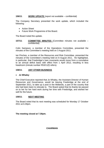#### **156/11 WORK UPDATE** (report not available – confidential)

The Company Secretary presented the work update, which included the following:

- Action Sheet
- Future Work Programme of the Board.

The Board noted the update.

#### **157/11 COMMITTEE MINUTES** (Committee minutes not available – confidential)

Colin Sampson, a member of the Operations Committee, presented the minutes of the Committee's meeting held on 3 August 2011.

Ian Pinches, a member of the Resources and Risk Committee, presented the minutes of the Committee's meeting held on 8 August 2011. He highlighted, in particular, that Freebridge's loan covenants would move from a cumulative to an annual deficit basis with effect from 1 April 2012, resulting in less headroom (minute number R53/11(f) refers).

#### **158/11 ANY OTHER BUSINESS**

#### • **Jo Whaley**

The Chief Executive reported that Jo Whaley, the Assistant Director of Human Resources and Governance, would be leaving Freebridge at the end of September 2011, to take up a post in the Midlands, a part of the country that she had been keen to relocate to. The Board asked that its thanks be passed on to her for her hard work during her time with Freebridge, and wished her well for the future.

#### **159/11 NEXT MEETING**

The Board noted that its next meeting was scheduled for Monday 17 October 2011 at 6.30pm.

**The meeting closed at 7.30pm.** 

**CHAIRMAN**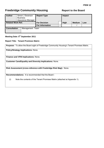# **Freebridge Community Housing Theory Report to the Board**

| <b>Author</b>                          |  | Simon J Swanson<br><b>Business</b><br>Assurance Manager | <b>Report Type</b>     |      | Impact        |     |  |
|----------------------------------------|--|---------------------------------------------------------|------------------------|------|---------------|-----|--|
| <b>Related Work Ref.</b>               |  | <b>For Decision</b>                                     |                        | High | <b>Medium</b> | Low |  |
|                                        |  |                                                         | <b>For Information</b> |      |               |     |  |
| <b>Consultation</b><br>Management Team |  |                                                         |                        |      |               |     |  |

**Meeting Date: 5th September 2011**

#### **Report Title: Tenant Promises Matrix**

**Purpose:** To allow the Board sight of Freebridge Community Housing's Tenant Promises Matrix.

**Policy/Strategy Implications:** None.

**Finance and VFM Implications:** None.

**Customer Care/Equality and Diversity Implications:** None.

**Risk Assessment (cross-reference with Freebridge Risk Map):** None.

**Recommendations:** It is recommended that the Board :

(i) Note the contents of the Tenant Promises Matrix (attached at Appendix 1).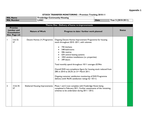## **Appendix 1**

## **STOCK TRANSFER MONITORING – Promises Tracking 2010-11**

| <b>RSL</b><br><b>Nome</b> | <b>Housing</b><br>Communit<br>rreebridge |             |                          |
|---------------------------|------------------------------------------|-------------|--------------------------|
| <b>RSI</b><br>ımber       | L4463                                    | <b>Date</b> | $(2010-201)^{n}$<br>rear |

| Theme One: Delivery of home re-improvements |                                                                       |                                                                  |                                                                                                                                                                                                                                                                                                                                                                                                                                                                                                                                              |               |  |  |
|---------------------------------------------|-----------------------------------------------------------------------|------------------------------------------------------------------|----------------------------------------------------------------------------------------------------------------------------------------------------------------------------------------------------------------------------------------------------------------------------------------------------------------------------------------------------------------------------------------------------------------------------------------------------------------------------------------------------------------------------------------------|---------------|--|--|
|                                             | <b>Promise</b><br>number and<br><b>Consultation</b><br>Doc. Page ref. | <b>Nature of Work</b><br>Progress to date / further work planned |                                                                                                                                                                                                                                                                                                                                                                                                                                                                                                                                              | <b>Status</b> |  |  |
|                                             | 5 & 32-<br>57                                                         | Decent Homes (+) Programme                                       | Ongoing Decent Homes Improvement Programme for housing<br>stock throughout 2010 -2011, with volumes:<br>745 kitchens<br>548 bathrooms<br>506 rewires<br>634 central heating systems<br>1052 window installations (i.e. properties)<br>349 doors<br>Total monthly spend throughout 10/11 averages £0.94m<br>Overall DHS non-compliance figure for housing stock reduced from<br>28% in 2010 to 20.2% on 31st March 2011.<br>Ongoing customer satisfaction monitoring of DHS Programme<br>delivery (with 96.0% satisfaction ratings for 10/11) |               |  |  |
| 2                                           | 15 & 34-<br>57                                                        | <b>Sheltered Housing Improvements</b>                            | Phase I and 2 now complete with Freebridge Haven being<br>completed in February 2011. Further assessments of the remaining<br>schemes to be undertaken during 2011 / 2012.                                                                                                                                                                                                                                                                                                                                                                   |               |  |  |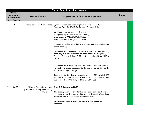|                | <b>Theme Two: Service Improvement</b>                                 |                                                                                  |                                                                                                                                                                                                                                                                                                                                                                                                                                                                                                                                                                                                                                                                                                                                                                                                                                                                                                                                                                  |               |  |  |  |
|----------------|-----------------------------------------------------------------------|----------------------------------------------------------------------------------|------------------------------------------------------------------------------------------------------------------------------------------------------------------------------------------------------------------------------------------------------------------------------------------------------------------------------------------------------------------------------------------------------------------------------------------------------------------------------------------------------------------------------------------------------------------------------------------------------------------------------------------------------------------------------------------------------------------------------------------------------------------------------------------------------------------------------------------------------------------------------------------------------------------------------------------------------------------|---------------|--|--|--|
|                | <b>Promise</b><br>number and<br><b>Consultation</b><br>Doc. Page ref. | <b>Nature of Work</b>                                                            | Progress to date / further work planned                                                                                                                                                                                                                                                                                                                                                                                                                                                                                                                                                                                                                                                                                                                                                                                                                                                                                                                          | <b>Status</b> |  |  |  |
|                | 4                                                                     | Improved Repairs Performance                                                     | Significantly reduced operating financial loss of for 10/11<br>(reduced from for 09/10) for Property Services DLO.<br>By category, performance levels were:<br>Emergency repairs 99.4% (99.3% in 08/09)<br>Urgent repairs 99.0% (95.2% in 08/09)<br>Routine repairs 98.4% (93.5% in 08/09)<br>Increase in performance due to the more efficient working and<br>better planning.<br>Continued improvements cost control and operating efficiency<br>producing a reduced average job cost (across all categories) for<br>Property Services DLO of £105 in $10/11$ – reduced from £113 in<br>09/10.<br>Continued work following the DLO Action Plan last year has<br>resulted in a further reduction in the average re-let time at the<br>end of 09/10 of just 12 days.<br>Tenant Satisfaction data with repairs service : 85% satisfied, 40%<br>very and 45% fairly gathered in March 2011, compared to 78%<br>satisfied, 33% and 44% fairly in 2010 (via STATUS). |               |  |  |  |
| $\overline{2}$ | 6 & 35                                                                | Aids and Adaptations – clear<br>pre-transfer backlog and meeting<br>future need. | Aids & Adaptations 08/09 :<br>The backlog from pre-transfer has now been completed. We are<br>continuing to work in partnership with the Borough Council and<br>Social Services to make better use of resources.<br><b>Recommendations from the Adult Social Services</b><br>received :                                                                                                                                                                                                                                                                                                                                                                                                                                                                                                                                                                                                                                                                          |               |  |  |  |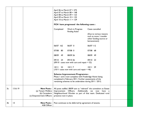|    |                 |                                                                  |                        | April 06 to March $07 = 275$<br>April 07 to March $08 = 148$<br>April 08 to March $09 = 123$<br>April 09 to March $10 = 135$<br>April 10 to March $11 = 129$<br>FCH have progressed the following cases :          |                                                                                                                  |           |  |
|----|-----------------|------------------------------------------------------------------|------------------------|--------------------------------------------------------------------------------------------------------------------------------------------------------------------------------------------------------------------|------------------------------------------------------------------------------------------------------------------|-----------|--|
|    |                 |                                                                  | Completed              | Work in Progress<br><b>Pending Action</b>                                                                                                                                                                          | Cases cancelled<br>(Due to various reasons<br>such as move / transfer<br>other funding source or<br>bereavement) |           |  |
|    |                 |                                                                  | 06/07 162              | 06/07 0                                                                                                                                                                                                            | 06/07 112                                                                                                        |           |  |
|    |                 |                                                                  | 07/08<br>80            | 07/08 0                                                                                                                                                                                                            | 07/08 68                                                                                                         |           |  |
|    |                 |                                                                  | 08/09<br>49            | 08/09 26                                                                                                                                                                                                           | 08/09 49                                                                                                         |           |  |
|    |                 |                                                                  | 09/10 24               | 09/10 36<br>$(09/10 \text{ cases now with care and repair} = 52)$                                                                                                                                                  | 09/10 23                                                                                                         |           |  |
|    |                 |                                                                  | 10/11<br>53            | 10/117<br>$(10/11 \text{ cases now with care and repair} = 46)$                                                                                                                                                    | $10/11$ 29                                                                                                       |           |  |
|    |                 |                                                                  |                        | <b>Scheme Improvement Programme:</b><br>Phase I and 2 now complete with Freebridge Haven being<br>completed in February 2011. Further assessments of the<br>remaining schemes to be undertaken during 2011 / 2012. |                                                                                                                  |           |  |
| 3a | 13 & 19         | (a) Tenant Welfare<br>(b) Caretakers<br>(c) Empowerment Officers | presence now in place. | <b>New Posts:</b>   All posts staffed. 08/09 saw us "rebrand" the caretakers as Estate<br>Improvement Officers. Additionally<br>Neighbourhood Warden as part of that team. Dedicated rural                         | we<br>now                                                                                                        | have<br>a |  |
| 3b | $\overline{13}$ | <b>New Posts:</b><br><b>ASB Officer</b>                          |                        | Post continues to be deferred by agreement of tenants.                                                                                                                                                             |                                                                                                                  |           |  |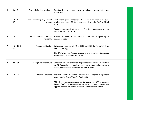| 4 | 6 & 13            | <b>Assisted Gardening Scheme</b>          | Continued budget commitment to scheme, responsibility now<br>with Assets.                                                                                                                                                                                                                   |  |
|---|-------------------|-------------------------------------------|---------------------------------------------------------------------------------------------------------------------------------------------------------------------------------------------------------------------------------------------------------------------------------------------|--|
| 5 | 12 & 64-<br>67    | 'Firm but Fair' policy on rent<br>arrears | Rent arrears performance for 10/11 were maintained at the same<br>level as last year, 1.5% (net) - compared to 1.4% (net) in March<br>2009.                                                                                                                                                 |  |
|   |                   |                                           | Evictions decreased, with a total of 14 for non-payment of rent<br>compared to 17 in 09/10.                                                                                                                                                                                                 |  |
| 6 | 12                | Home Contents Insurance<br>availability   | Scheme continues to be available $-738$ tenants signed up to<br>scheme to date.                                                                                                                                                                                                             |  |
| 7 | $16 - 18$ &<br>27 | Tenant Satisfaction                       | Satisfaction rose from 84% in 2010 to 88.2% in March 2010 (via<br>STATUS Survey).<br>The TSA's National Service standards have now been introduced                                                                                                                                          |  |
|   |                   |                                           | as well as our own Local Standards.                                                                                                                                                                                                                                                         |  |
| 8 | $27 - 61$         | <b>Complaints Procedure</b>               | Simplified, time limited three stage complaints process in use from<br>Jan 09. Recording and monitoring system in place and reporting of<br>trends, numbers and lessons learnt now in place.                                                                                                |  |
| 9 | 13 & 24           | Starter Tenancies                         | Assured Shorthold Starter Tenancy (ASST) regime in operation<br>since Housing Stock Transfer April 2006<br>ASST Policy document approved by Board June 2007, amended<br>August 2007 re introduction of new Housing Management<br>Appeals Process to include termination decisions re ASSTs. |  |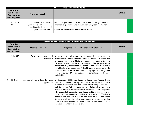|                                                                       | <b>Theme Three: Affordable Rents</b> |                                                                                                                       |                                                                                                                                                                                    |               |  |  |  |
|-----------------------------------------------------------------------|--------------------------------------|-----------------------------------------------------------------------------------------------------------------------|------------------------------------------------------------------------------------------------------------------------------------------------------------------------------------|---------------|--|--|--|
| <b>Promise</b><br>number and<br><b>Consultation</b><br>Doc. Page ref. |                                      | <b>Nature of Work</b>                                                                                                 |                                                                                                                                                                                    | <b>Status</b> |  |  |  |
|                                                                       | $3, 5 & 10 -$                        | Delivery of transferring<br>organisation's rent promises as<br>outlined in offer document - 5<br>year Rent Guarantee. | Full convergence will occur in $15/16$ – due to rent guarantee and<br>amended target rents - within Business Plan agreed at Transfer.<br>Monitored by Finance Committee and Board. |               |  |  |  |

|                                                                       | Theme Four: Tenant involvement in decision making |                                                   |                                                                                                                                                                                                                                                                                                                                                                                                                                                                                                                                                                                                                                                                                                        |               |  |  |
|-----------------------------------------------------------------------|---------------------------------------------------|---------------------------------------------------|--------------------------------------------------------------------------------------------------------------------------------------------------------------------------------------------------------------------------------------------------------------------------------------------------------------------------------------------------------------------------------------------------------------------------------------------------------------------------------------------------------------------------------------------------------------------------------------------------------------------------------------------------------------------------------------------------------|---------------|--|--|
| <b>Promise</b><br>number and<br><b>Consultation</b><br>Doc. Page ref. |                                                   | <b>Nature of Work</b>                             | Progress to date / further work planned                                                                                                                                                                                                                                                                                                                                                                                                                                                                                                                                                                                                                                                                | <b>Status</b> |  |  |
|                                                                       | 6, 16 & 818                                       | Do you have tenant board<br>members ?             | In January 2011, all tenants were consulted on a proposal to<br>reduce the size of the Board to a total of 12 members, in line with<br>a requirement of the National Housing Federation's Code of<br>Governance, which the Board has adopted. This proposal would<br>involve reducing the number of tenants on the Board from 7 to 5.<br>No objections were received. TOWN was also consulted on the<br>proposal and raised no objections. The proposal is being taken<br>forward during 2011/12, subject to consultation with other<br>stakeholders.                                                                                                                                                  |               |  |  |
| $\mathbf{2}$                                                          | 18 & 25                                           | Are they elected or have they been<br>appointed ? | In December 2010, the Board withdrew the Tenant Board<br>Member Succession Policy and incorporated tenant board<br>member recruitment into the Board Membership, Recruitment<br>and Succession Policy. Under the new Policy, all tenant board<br>member vacancies are advertised to all tenants. Those applicants<br>who successfully complete a shortlisting and interview process are<br>put forward for election to the Board by all tenants. The Board<br>believed that this was closer to the spirit of the Consultation<br>Document, which referred to open tenant elections, rather than<br>candidates being selected from within the membership of TOWN<br>(as occurred under the old Policy). |               |  |  |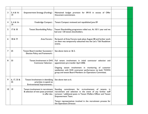| 3               | 5, 6 & 16<br> 9     | Empowerment Strategy (Funding) :                                                            | Maintained budget provision for 09/10 in excess of Offer<br>Document commitment.                                                                                                                                                                                                                                                                      |  |
|-----------------|---------------------|---------------------------------------------------------------------------------------------|-------------------------------------------------------------------------------------------------------------------------------------------------------------------------------------------------------------------------------------------------------------------------------------------------------------------------------------------------------|--|
| 4               | 5, 6 & 16<br> 9     | Freebridge Compact:                                                                         | Tenant Compact reviewed and republished June 09                                                                                                                                                                                                                                                                                                       |  |
| 5               | 17 & 18             | Tenant Shareholding Policy:                                                                 | Tenant Shareholding programme rolled out. At 10/11 year end we<br>had over 120 tenant shareholders.                                                                                                                                                                                                                                                   |  |
| 6               | 18 & 19             | Area Forums:                                                                                | Re-launch of Area Forums took place August 08 and further work<br>on them was temporarily subsumed into the Let's Talk Roadshow<br>events.                                                                                                                                                                                                            |  |
| 7               | 25                  | Tenant Board member Succession /<br>Election Policy and Framework:                          | See above items at 1& 2.                                                                                                                                                                                                                                                                                                                              |  |
| 8               | 33                  | Tenant Involvement in DHS<br><b>Contractor Selection:</b>                                   | Full tenant involvement in initial contractor selection and<br>appointment pre transfer April 2006<br>Ongoing tenant involvement in monitoring of customer<br>satisfaction with DHS contractor performance via both TOWN<br>group and tenant Board Members on Operations Committee.                                                                   |  |
| 9               | 6, $17, 33$ &<br>35 | Tenant Involvement in identifying<br>priorities re spend on<br>Environmental Improvements : | See above item at 6.                                                                                                                                                                                                                                                                                                                                  |  |
| $\overline{10}$ | 9                   | & selection of new posts promised<br>in offer doc.                                          | Tenant involvement in recruitment   Standing commitment for re-involvement of tenants in<br>recruitment and selection in the event of any further staff<br>turnover / additional posts re Tenant Welfare Officer and Tenant<br><b>Empowerment Team.</b><br>Tenant representatives involved in the recruitment process for<br>the Operations Director. |  |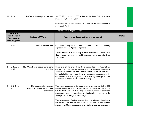| $16 - 19$ | TOGether Development Group   No TOGS occurred in 09/10 due to the Let's Talk Roadshow<br>events throughout the year. |  |
|-----------|----------------------------------------------------------------------------------------------------------------------|--|
|           | No further TOGs occurred in 10/11 due to the development of<br>the Tenant Panel.                                     |  |

| <b>Theme Five: Regeneration</b> |                                                                       |                                                                                    |                                                                                                                                                                                                                                                                                                                                                                                                                                                                                                        |               |  |
|---------------------------------|-----------------------------------------------------------------------|------------------------------------------------------------------------------------|--------------------------------------------------------------------------------------------------------------------------------------------------------------------------------------------------------------------------------------------------------------------------------------------------------------------------------------------------------------------------------------------------------------------------------------------------------------------------------------------------------|---------------|--|
|                                 | <b>Promise</b><br>number and<br><b>Consultation</b><br>Doc. Page ref. | <b>Nature of Work</b>                                                              | Progress to date / further work planned                                                                                                                                                                                                                                                                                                                                                                                                                                                                | <b>Status</b> |  |
|                                 | 6, 17                                                                 | <b>Rural Empowerment</b>                                                           | Continued<br>engagement with Monks Close<br>community<br>representatives and partner agencies.<br>Refurbishment of Community Centre completed. New social<br>club in place. Independent children nursery now operating from<br>the centre.                                                                                                                                                                                                                                                             |               |  |
| $\overline{2}$                  | 3, 6, 7, 17<br>& 19                                                   | Nar-Ouse Regeneration partnership<br>(NORA)                                        | Phase one of the project has been completed. The Council has<br>discontinued the Steering Group structure however Freebridge<br>continue to work with the Council, Morston Assets and other<br>key stakeholders to ensure there are continued opportunities for<br>our tenants in the management of the existing development and<br>options on further new affordable housing.                                                                                                                         |               |  |
| 3                               | $3, 7 & 16 -$<br>$\overline{19}$                                      | Development Strategy and<br>membership of e <sup>2</sup> development<br>consortium | The board approved a development programme to deliver 228<br>homes within the financial plan. In 2011 / 20212 34 new homes<br>will be built with HCA funding. A small number of additional<br>properties have been acquired, predominantly in relation to the<br>Hillington Square regeneration project.<br>The governments funding strategy has now changed, Freebridge<br>has made a bid for 72 new house under the 'Fairer Futures'<br>programme. Other opportunities are being employed to manager |               |  |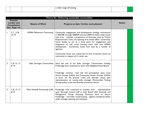|  | a wider range of housing. |  |
|--|---------------------------|--|
|  |                           |  |

|                                                                       | Theme Six: Delivering sustainable communities |                                  |                                                                                                                                                                                                                                                                                                                                                                                                                                                                                                                                                                     |               |  |
|-----------------------------------------------------------------------|-----------------------------------------------|----------------------------------|---------------------------------------------------------------------------------------------------------------------------------------------------------------------------------------------------------------------------------------------------------------------------------------------------------------------------------------------------------------------------------------------------------------------------------------------------------------------------------------------------------------------------------------------------------------------|---------------|--|
| <b>Promise</b><br>number and<br><b>Consultation</b><br>Doc. Page ref. |                                               | <b>Nature of Work</b>            | Progress to date / further work planned                                                                                                                                                                                                                                                                                                                                                                                                                                                                                                                             | <b>Status</b> |  |
|                                                                       | 3, 7, 13 &<br>$16 - 19$                       | <b>NORA Millennium Community</b> | Community engagement and development strategy commenced<br>in 2007/08, through 2008/09 and into 2009/10 within wider South<br>Lynn area - includes a programme of doorstep visits by Tenant<br>Empowerment Team, the opening of an estate office / community<br>house facility to act as a focal point for engagement and<br>integration of 'old' social housing stock with new NORA<br>development. Community house now used by a number of<br>agencies.<br>Community house now closed due to lack of interest shown by<br>community in respect of it's wider use. |               |  |
| $\overline{2}$                                                        | 3, 8, 13, 17<br>& 19                          | Safer, Stronger Communities      | Since the end of the Safer Stronger Communities Funding<br>Freebridge have continued to work with Neighbourhood Board.                                                                                                                                                                                                                                                                                                                                                                                                                                              |               |  |
|                                                                       |                                               |                                  | Freebridge continue lead role and participation upon Local<br>Action Groups (LAGs) and Community Action Groups (CAGs)<br>re local, 'on the ground' crime and disorder issues, plus<br>representation on county-wide strategic (Partnership Tasking<br>Group) police crime and disorder prevention forum.                                                                                                                                                                                                                                                            |               |  |
| 3                                                                     | 3, 8, 13, 17<br>& 19                          | West Norfolk Partnership (LSP)   | Freebridge have continued to maintain their representation<br>upon Borough Council LSP at both Board (AD Housing) and<br>Management Group (Housing Director) level to ensure<br>Freebridge - and wider social housing - agenda considered within<br>wider strategic planning and initiatives.                                                                                                                                                                                                                                                                       |               |  |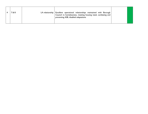|  |  | 7 & 8 |  | LA relationship   Excellent operational relationships maintained with Borough<br>Council re homelessness, meeting housing need, combating and<br>preventing ASB, disabled adaptations |  |  |
|--|--|-------|--|---------------------------------------------------------------------------------------------------------------------------------------------------------------------------------------|--|--|
|--|--|-------|--|---------------------------------------------------------------------------------------------------------------------------------------------------------------------------------------|--|--|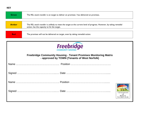| <b>Green</b>                                                                                | The RSL stock transfer is on target to deliver on promises / has delivered on promises.                             |  |
|---------------------------------------------------------------------------------------------|---------------------------------------------------------------------------------------------------------------------|--|
| <b>Amber</b>                                                                                | The RSL stock transfer is unlikely to meet the target at the current level of progress. However, by taking remedial |  |
|                                                                                             | action, has the capacity to hit the target.                                                                         |  |
| <b>Red</b><br>The promises will not be delivered on target, even by taking remedial action. |                                                                                                                     |  |

| <b>Freebridge</b>                                                                                                       |                                         |
|-------------------------------------------------------------------------------------------------------------------------|-----------------------------------------|
| <b>Freebridge Community Housing - Tenant Promises Monitoring Matrix</b><br>- approved by TOWN (Tenants of West Norfolk) |                                         |
|                                                                                                                         |                                         |
|                                                                                                                         |                                         |
|                                                                                                                         |                                         |
|                                                                                                                         | TENANTS<br>of<br><b>WEST</b><br>NORFOLK |

**KEY**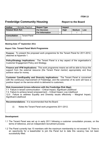# **Freebridge Community Housing The Report to the Board**

| <b>Author</b>            | Michelle Playford   | <b>Report Type</b>     |               | Impact      |               |     |
|--------------------------|---------------------|------------------------|---------------|-------------|---------------|-----|
| <b>Related Work Ref.</b> |                     | <b>For Decision</b>    |               | <b>High</b> | <b>Medium</b> | Low |
|                          |                     | <b>For Information</b> | $\mathcal{N}$ |             |               |     |
| <b>Consultation</b>      | <b>Tenant Panel</b> |                        |               |             |               |     |

### **Meeting Date: 5th September 2011**

#### **Report Title: Tenant Panel Work Programme**

**Purpose:** To present the proposed work programme for the Tenant Panel for 2011-2012, attached at Appendix 1.

**Policy/Strategy Implications:** The Tenant Panel is a key aspect of the organisation's Customer Engagement Policy and Strategy.

**Finance and VFM Implications:** This work programme means we will be able to focus the support from the external resource (the Tenant Panel mentor) appropriately and thus achieve value for money.

**Customer Care/Equality and Diversity Implications:** The Tenant Panel is concerned with the continuous improvement of Freebridge, and the outcomes of its work will have a positive impact on the service which is delivered to customers.

**Risk Assessment (cross-reference with the Freebridge Risk Map):**  7.1 Failure in tenant communication – Critical Impact, Significant Likelihood 7.4 Failure to achieve tenant empowerment – Critical Impact, Low Likelihood 12.0 Failure to address Equality and Diversity issues effectively – Marginal Impact, Significant Likelihood

**Recommendations:** It is recommended that the Board:

(i) Notes the Tenant Panel work programme 2011-2012.

#### **Development**

- 1.1 The Tenant Panel was set up in early 2011 following a customer consultation process, on the terms of reference, and an independent recruitment process.
- 1.2 The Panel currently has 10 members with the maximum membership to not exceed 12. There is an opportunity for a leaseholder to join the Panel but to date this vacancy has not been successfully filled.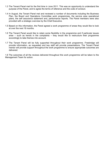- 1.3 The Tenant Panel met for the first time in June 2011. This was an opportunity to understand the purpose of the Panel, and to agree the terms of reference and the code of conduct.
- 1.4 In August, the Tenant Panel met and reviewed a number of documents including the Business Plan, the Board and Operations Committee work programmes, the service area operational plans, the self assurance statement and, performance reports. The Panel members were also provided with a strategic overview by the Chief Executive.
- 1.5 Based on this information, the Panel agreed a work programme of areas they would like to look at over the next 18 months.
- 1.6 The Tenant Panel would like to retain some flexibility in the programme and if particular issues arise  $-$  such as trends in the complaints  $-$  they would like to restructure their programme accordingly to take themes into account.
- 1.7 The Tenant Panel will be fully supported throughout their work programme. Freebridge will provide information, as requested and key staff will provide presentations. The Tenant Panel mentor will provide support throughout the work programme to ensure appropriate outcomes are delivered.

1.8 The outcomes of all the reviews delivered throughout this work programme will be taken to the Management Team for action.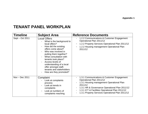# **TENANT PANEL WORKPLAN**

| <b>Timeline</b>  | <b>Subject Area</b>                                                                                                                                                                                                                                                                                                                             | <b>Reference Documents</b>                                                                                                                                                                                                                                                                                                                                                                            |
|------------------|-------------------------------------------------------------------------------------------------------------------------------------------------------------------------------------------------------------------------------------------------------------------------------------------------------------------------------------------------|-------------------------------------------------------------------------------------------------------------------------------------------------------------------------------------------------------------------------------------------------------------------------------------------------------------------------------------------------------------------------------------------------------|
| Sept – Oct 2011  | <b>Local Offers</b><br>What is the background to<br>local offers?<br>How did the existing<br>offers come about?<br>Who was involved in<br>putting them together?<br>What consultation with<br>tenants took place?<br>Access levels of<br>understanding of a local<br>offer amongst staff,<br>tenants and stakeholders<br>How are they promoted? | 1.2.2 Communications & Customer Engagement<br>Operational Plan 2011/12<br>1.2.2 Property Services Operational Plan 2011/12<br>۳<br>1.2.2 Housing management Operational Plan<br>$\blacksquare$<br>2011/12                                                                                                                                                                                             |
| Nov $-$ Dec 2011 | Complaint<br>Look at complaints<br>process<br>Look at trends in<br>complaints<br>Look at numbers of<br>complaints reaching                                                                                                                                                                                                                      | 1.3.1 Communications & Customer Engagement<br>$\overline{\phantom{a}}$<br>Operational Plan 2011/12<br>1.3.1 Housing management Operational Plan<br>$\blacksquare$<br>2011/12<br>1.3.1 HR & Governance Operational Plan 2011/12<br>$\blacksquare$<br>1.3.1 ICT & Facilities Operational Plan 2011/12<br>$\blacksquare$<br>1.3.1 Property Services Operational Plan 2011/12<br>$\overline{\phantom{a}}$ |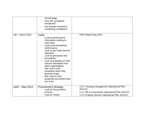|                  | formal stage<br>How are complaints<br>monitored?<br>Are tenants involved in<br>monitoring complaints?                                                                                                                                                                                                                                                                                                       |                                                                                                                                                           |
|------------------|-------------------------------------------------------------------------------------------------------------------------------------------------------------------------------------------------------------------------------------------------------------------------------------------------------------------------------------------------------------------------------------------------------------|-----------------------------------------------------------------------------------------------------------------------------------------------------------|
| Jan - March 2012 | Voids<br>Look at performance<br>information relating to<br>void times<br>Look at benchmarking<br>performance<br>Look at the Voids Service<br>Standard<br>Look at processes and<br>procedures<br>Look at examples of Void<br>Service Standards from<br>other organisations<br>Site visit to void<br>properties when they<br>become empty<br>Site visits to void<br>properties just before they<br>are re-let | PWC Report May 2011                                                                                                                                       |
| April - May 2012 | <b>Procurement Strategy</b><br>Look at Procurement<br>process<br>Look at Tenant                                                                                                                                                                                                                                                                                                                             | 2.2.2 Housing management Operational Plan<br>2011/12<br>2.2.2 HR & Governance Operational Plan 2011/12<br>2.2.2 Property Service Operational Plan 2011/12 |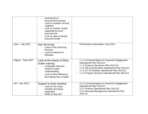|                    | involvement in<br>procurement process<br>Look at numbers of local<br>suppliers<br>Look at number of jobs<br>supported by local<br>procurement<br>Look at value of goods<br>procured locally |                                                                                                                                                                                                                                                                                                          |
|--------------------|---------------------------------------------------------------------------------------------------------------------------------------------------------------------------------------------|----------------------------------------------------------------------------------------------------------------------------------------------------------------------------------------------------------------------------------------------------------------------------------------------------------|
| June $-$ July 2012 | <b>Gas Servicing</b><br>Look at Gas Servicing<br><b>Process</b><br>Look at reasons for<br><b>Refusals</b>                                                                                   | Performance Information June 2011                                                                                                                                                                                                                                                                        |
| August - Sept 2012 | Look at the impact of Mary<br>Gober training<br>Undertake induction<br>session to gain<br>understanding<br>Look at what difference<br>the training has it made?                             | 1.1.2 Communications & Customer Engagement<br>Operational Plan 2011/12<br>1.1.2 Finance Operations Plan 2011/12<br>$\qquad \qquad \blacksquare$<br>1.1.2 HR & Governance Operational Plan 2011/12<br>1.1.2 ICT & Facilities Operational Plan 2011/12<br>1.1.2 Property Services Operational Plan 2011/12 |
| Oct - Nov 2012     | Support to local charities<br>Look at how many<br>charities are being<br>supported.<br>What do they do?                                                                                     | 2.4.2 Communications & Customer Engagement<br>Operational Plan 2011/12<br>2.4.2 Finance Operational Plan 2011/12<br>$\overline{a}$<br>2.4.2 Housing Management Operational Plan<br>2011/12                                                                                                               |